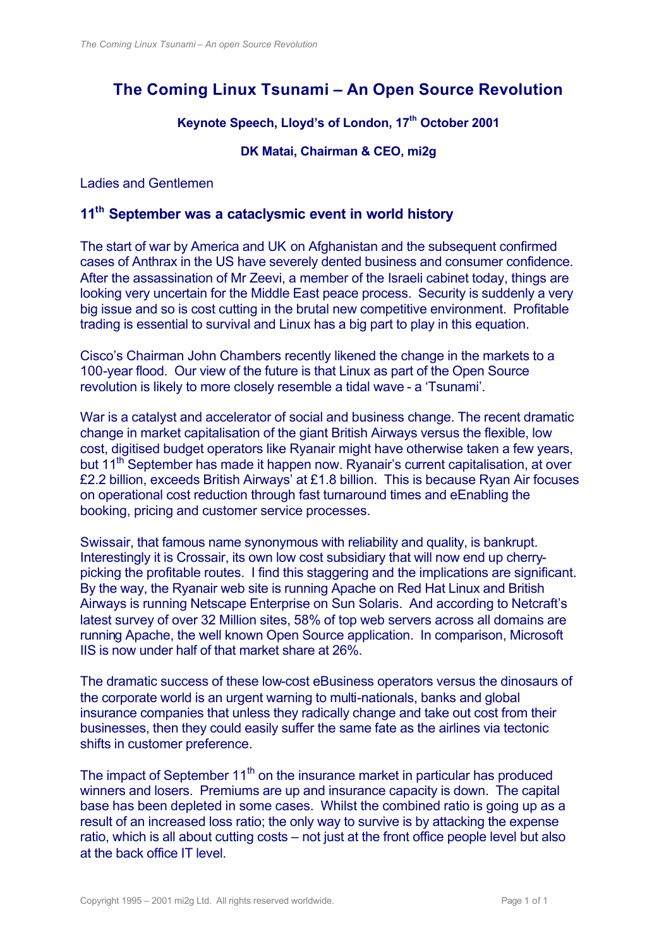# **The Coming Linux Tsunami – An Open Source Revolution**

#### **Keynote Speech, Lloyd's of London, 17th October 2001**

**DK Matai, Chairman & CEO, mi2g**

Ladies and Gentlemen

### **11th September was a cataclysmic event in world history**

The start of war by America and UK on Afghanistan and the subsequent confirmed cases of Anthrax in the US have severely dented business and consumer confidence. After the assassination of Mr Zeevi, a member of the Israeli cabinet today, things are looking very uncertain for the Middle East peace process. Security is suddenly a very big issue and so is cost cutting in the brutal new competitive environment. Profitable trading is essential to survival and Linux has a big part to play in this equation.

Cisco's Chairman John Chambers recently likened the change in the markets to a 100-year flood. Our view of the future is that Linux as part of the Open Source revolution is likely to more closely resemble a tidal wave - a 'Tsunami'.

War is a catalyst and accelerator of social and business change. The recent dramatic change in market capitalisation of the giant British Airways versus the flexible, low cost, digitised budget operators like Ryanair might have otherwise taken a few years, but 11<sup>th</sup> September has made it happen now. Ryanair's current capitalisation, at over £2.2 billion, exceeds British Airways' at £1.8 billion. This is because Ryan Air focuses on operational cost reduction through fast turnaround times and eEnabling the booking, pricing and customer service processes.

Swissair, that famous name synonymous with reliability and quality, is bankrupt. Interestingly it is Crossair, its own low cost subsidiary that will now end up cherrypicking the profitable routes. I find this staggering and the implications are significant. By the way, the Ryanair web site is running Apache on Red Hat Linux and British Airways is running Netscape Enterprise on Sun Solaris. And according to Netcraft's latest survey of over 32 Million sites, 58% of top web servers across all domains are running Apache, the well known Open Source application. In comparison, Microsoft IIS is now under half of that market share at 26%.

The dramatic success of these low-cost eBusiness operators versus the dinosaurs of the corporate world is an urgent warning to multi-nationals, banks and global insurance companies that unless they radically change and take out cost from their businesses, then they could easily suffer the same fate as the airlines via tectonic shifts in customer preference.

The impact of September  $11<sup>th</sup>$  on the insurance market in particular has produced winners and losers. Premiums are up and insurance capacity is down. The capital base has been depleted in some cases. Whilst the combined ratio is going up as a result of an increased loss ratio; the only way to survive is by attacking the expense ratio, which is all about cutting costs – not just at the front office people level but also at the back office IT level.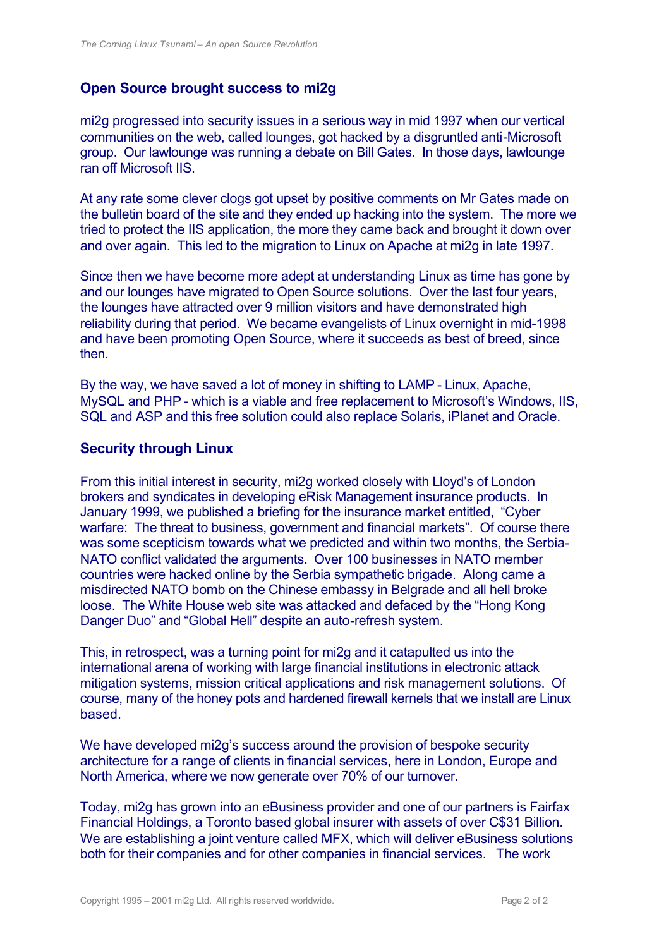## **Open Source brought success to mi2g**

mi2g progressed into security issues in a serious way in mid 1997 when our vertical communities on the web, called lounges, got hacked by a disgruntled anti-Microsoft group. Our lawlounge was running a debate on Bill Gates. In those days, lawlounge ran off Microsoft IIS.

At any rate some clever clogs got upset by positive comments on Mr Gates made on the bulletin board of the site and they ended up hacking into the system. The more we tried to protect the IIS application, the more they came back and brought it down over and over again. This led to the migration to Linux on Apache at mi2g in late 1997.

Since then we have become more adept at understanding Linux as time has gone by and our lounges have migrated to Open Source solutions. Over the last four years, the lounges have attracted over 9 million visitors and have demonstrated high reliability during that period. We became evangelists of Linux overnight in mid-1998 and have been promoting Open Source, where it succeeds as best of breed, since then.

By the way, we have saved a lot of money in shifting to LAMP - Linux, Apache, MySQL and PHP - which is a viable and free replacement to Microsoft's Windows, IIS, SQL and ASP and this free solution could also replace Solaris, iPlanet and Oracle.

#### **Security through Linux**

From this initial interest in security, mi2g worked closely with Lloyd's of London brokers and syndicates in developing eRisk Management insurance products. In January 1999, we published a briefing for the insurance market entitled, "Cyber warfare: The threat to business, government and financial markets". Of course there was some scepticism towards what we predicted and within two months, the Serbia-NATO conflict validated the arguments. Over 100 businesses in NATO member countries were hacked online by the Serbia sympathetic brigade. Along came a misdirected NATO bomb on the Chinese embassy in Belgrade and all hell broke loose. The White House web site was attacked and defaced by the "Hong Kong Danger Duo" and "Global Hell" despite an auto-refresh system.

This, in retrospect, was a turning point for mi2g and it catapulted us into the international arena of working with large financial institutions in electronic attack mitigation systems, mission critical applications and risk management solutions. Of course, many of the honey pots and hardened firewall kernels that we install are Linux based.

We have developed mi2g's success around the provision of bespoke security architecture for a range of clients in financial services, here in London, Europe and North America, where we now generate over 70% of our turnover.

Today, mi2g has grown into an eBusiness provider and one of our partners is Fairfax Financial Holdings, a Toronto based global insurer with assets of over C\$31 Billion. We are establishing a joint venture called MFX, which will deliver eBusiness solutions both for their companies and for other companies in financial services. The work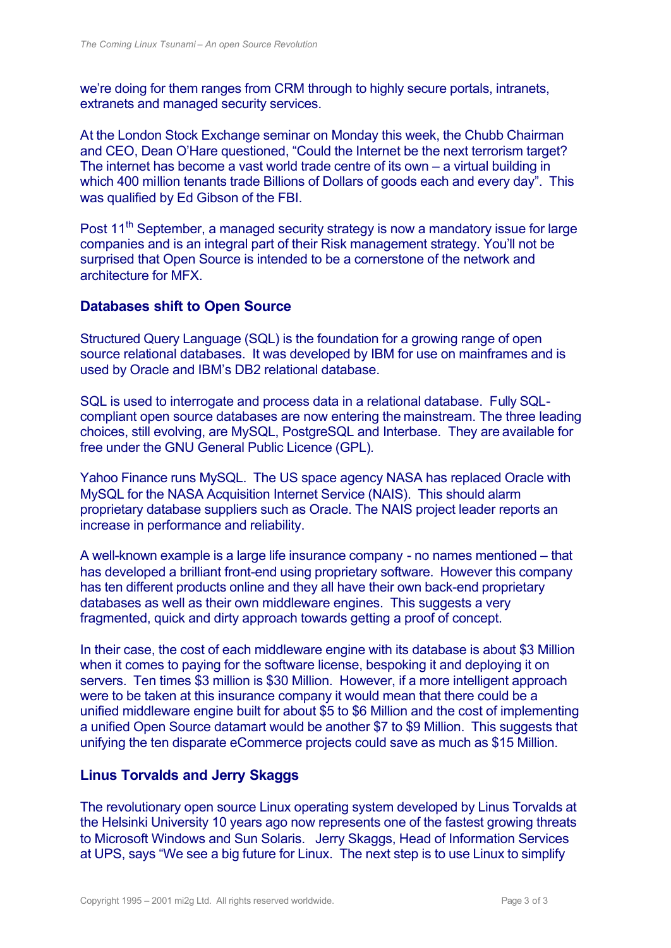we're doing for them ranges from CRM through to highly secure portals, intranets, extranets and managed security services.

At the London Stock Exchange seminar on Monday this week, the Chubb Chairman and CEO, Dean O'Hare questioned, "Could the Internet be the next terrorism target? The internet has become a vast world trade centre of its own – a virtual building in which 400 million tenants trade Billions of Dollars of goods each and every day". This was qualified by Ed Gibson of the FBI.

Post 11<sup>th</sup> September, a managed security strategy is now a mandatory issue for large companies and is an integral part of their Risk management strategy. You'll not be surprised that Open Source is intended to be a cornerstone of the network and architecture for MFX.

#### **Databases shift to Open Source**

Structured Query Language (SQL) is the foundation for a growing range of open source relational databases. It was developed by IBM for use on mainframes and is used by Oracle and IBM's DB2 relational database.

SQL is used to interrogate and process data in a relational database. Fully SQLcompliant open source databases are now entering the mainstream. The three leading choices, still evolving, are MySQL, PostgreSQL and Interbase. They are available for free under the GNU General Public Licence (GPL)*.*

Yahoo Finance runs MySQL. The US space agency NASA has replaced Oracle with MySQL for the NASA Acquisition Internet Service (NAIS). This should alarm proprietary database suppliers such as Oracle. The NAIS project leader reports an increase in performance and reliability.

A well-known example is a large life insurance company - no names mentioned – that has developed a brilliant front-end using proprietary software. However this company has ten different products online and they all have their own back-end proprietary databases as well as their own middleware engines. This suggests a very fragmented, quick and dirty approach towards getting a proof of concept.

In their case, the cost of each middleware engine with its database is about \$3 Million when it comes to paying for the software license, bespoking it and deploying it on servers. Ten times \$3 million is \$30 Million. However, if a more intelligent approach were to be taken at this insurance company it would mean that there could be a unified middleware engine built for about \$5 to \$6 Million and the cost of implementing a unified Open Source datamart would be another \$7 to \$9 Million. This suggests that unifying the ten disparate eCommerce projects could save as much as \$15 Million.

#### **Linus Torvalds and Jerry Skaggs**

The revolutionary open source Linux operating system developed by Linus Torvalds at the Helsinki University 10 years ago now represents one of the fastest growing threats to Microsoft Windows and Sun Solaris. Jerry Skaggs, Head of Information Services at UPS, says "We see a big future for Linux. The next step is to use Linux to simplify